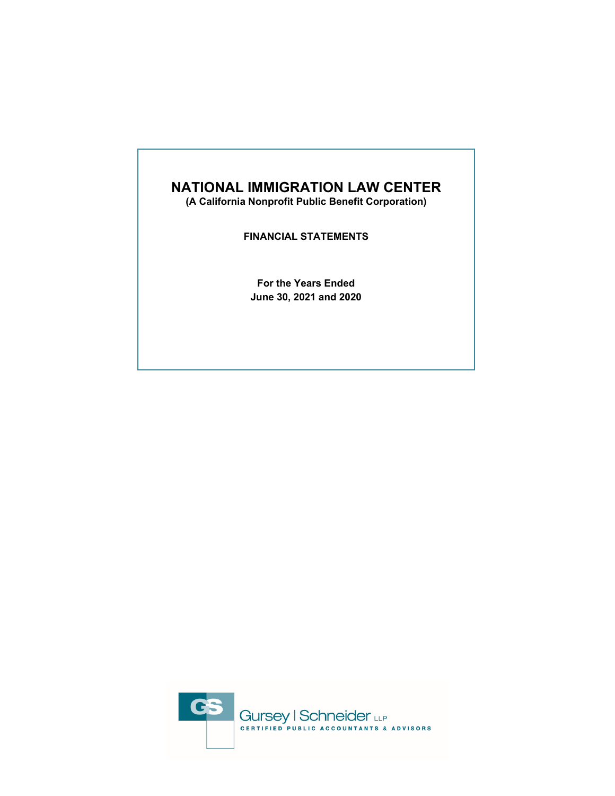**(A California Nonprofit Public Benefit Corporation)** 

**FINANCIAL STATEMENTS** 

**For the Years Ended June 30, 2021 and 2020** 

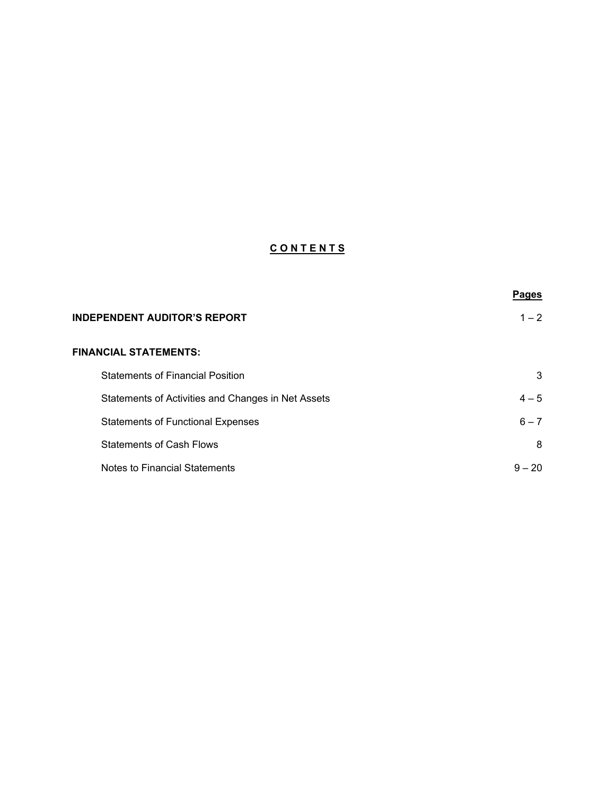# **C O N T E N T S**

|                                                    | <b>Pages</b> |
|----------------------------------------------------|--------------|
| <b>INDEPENDENT AUDITOR'S REPORT</b>                | $1 - 2$      |
| <b>FINANCIAL STATEMENTS:</b>                       |              |
| <b>Statements of Financial Position</b>            | 3            |
| Statements of Activities and Changes in Net Assets | $4 - 5$      |
| <b>Statements of Functional Expenses</b>           | $6 - 7$      |
| <b>Statements of Cash Flows</b>                    | 8            |
| Notes to Financial Statements                      | $9 - 20$     |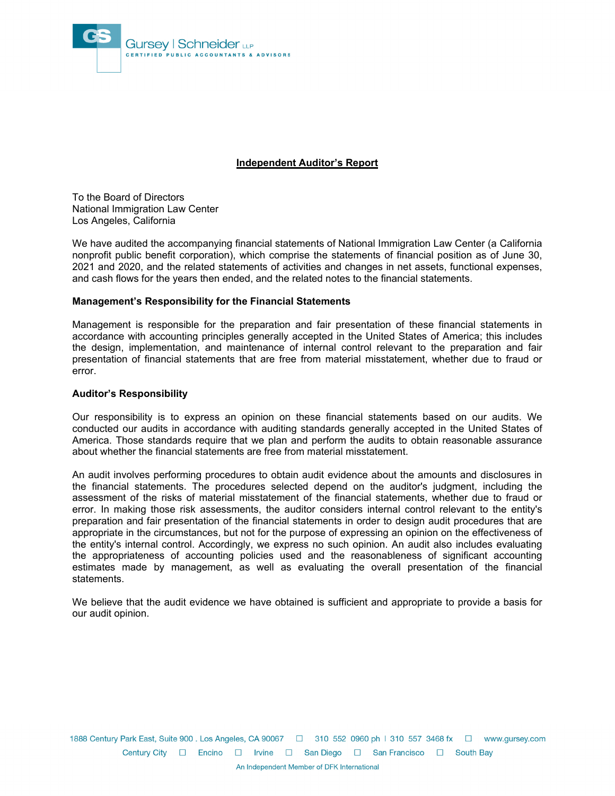

## **Independent Auditor's Report**

To the Board of Directors National Immigration Law Center Los Angeles, California

We have audited the accompanying financial statements of National Immigration Law Center (a California nonprofit public benefit corporation), which comprise the statements of financial position as of June 30, 2021 and 2020, and the related statements of activities and changes in net assets, functional expenses, and cash flows for the years then ended, and the related notes to the financial statements.

## **Management's Responsibility for the Financial Statements**

Management is responsible for the preparation and fair presentation of these financial statements in accordance with accounting principles generally accepted in the United States of America; this includes the design, implementation, and maintenance of internal control relevant to the preparation and fair presentation of financial statements that are free from material misstatement, whether due to fraud or error.

#### **Auditor's Responsibility**

Our responsibility is to express an opinion on these financial statements based on our audits. We conducted our audits in accordance with auditing standards generally accepted in the United States of America. Those standards require that we plan and perform the audits to obtain reasonable assurance about whether the financial statements are free from material misstatement.

An audit involves performing procedures to obtain audit evidence about the amounts and disclosures in the financial statements. The procedures selected depend on the auditor's judgment, including the assessment of the risks of material misstatement of the financial statements, whether due to fraud or error. In making those risk assessments, the auditor considers internal control relevant to the entity's preparation and fair presentation of the financial statements in order to design audit procedures that are appropriate in the circumstances, but not for the purpose of expressing an opinion on the effectiveness of the entity's internal control. Accordingly, we express no such opinion. An audit also includes evaluating the appropriateness of accounting policies used and the reasonableness of significant accounting estimates made by management, as well as evaluating the overall presentation of the financial statements.

We believe that the audit evidence we have obtained is sufficient and appropriate to provide a basis for our audit opinion.

1888 Century Park East, Suite 900 . Los Angeles, CA 90067 □ 310 552 0960 ph | 310 557 3468 fx □ www.gursey.com Century City □ Encino □ Irvine □ San Diego □ San Francisco □ South Bay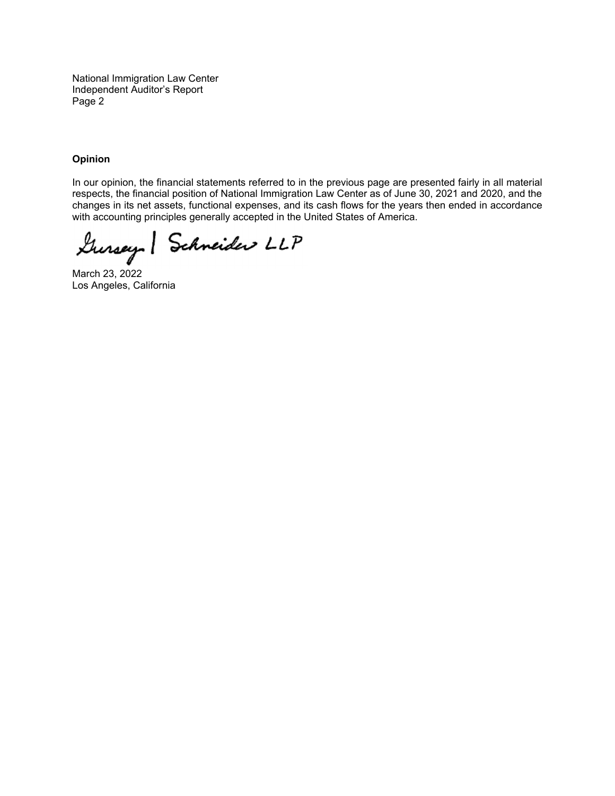National Immigration Law Center Independent Auditor's Report Page 2

## **Opinion**

In our opinion, the financial statements referred to in the previous page are presented fairly in all material respects, the financial position of National Immigration Law Center as of June 30, 2021 and 2020, and the changes in its net assets, functional expenses, and its cash flows for the years then ended in accordance with accounting principles generally accepted in the United States of America.

Gursey Schneider LLP

March 23, 2022 Los Angeles, California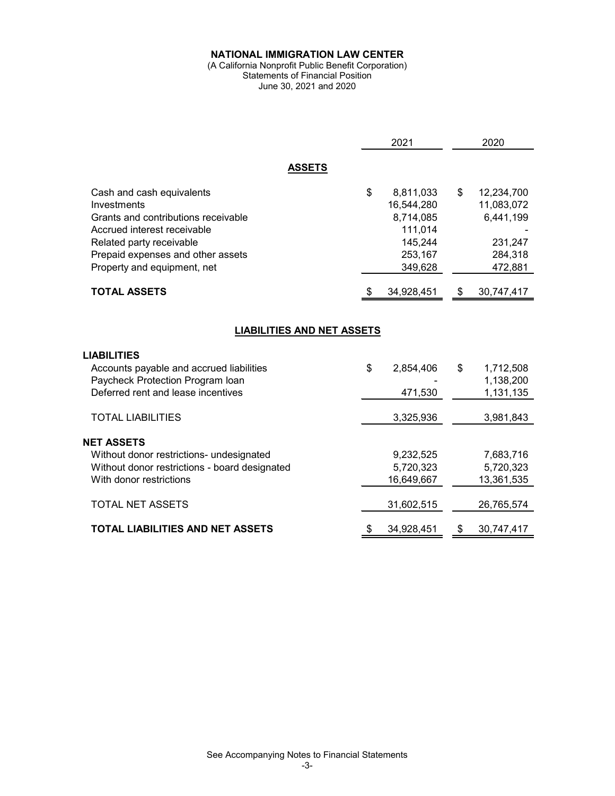#### (A California Nonprofit Public Benefit Corporation) Statements of Financial Position June 30, 2021 and 2020

|                                                                                                                                                                                                                | 2021                                                                                   |      | 2020                                                                   |
|----------------------------------------------------------------------------------------------------------------------------------------------------------------------------------------------------------------|----------------------------------------------------------------------------------------|------|------------------------------------------------------------------------|
| <b>ASSETS</b>                                                                                                                                                                                                  |                                                                                        |      |                                                                        |
| Cash and cash equivalents<br>Investments<br>Grants and contributions receivable<br>Accrued interest receivable<br>Related party receivable<br>Prepaid expenses and other assets<br>Property and equipment, net | \$<br>8,811,033<br>16,544,280<br>8,714,085<br>111,014<br>145,244<br>253,167<br>349,628 | \$   | 12,234,700<br>11,083,072<br>6,441,199<br>231,247<br>284,318<br>472,881 |
| <b>TOTAL ASSETS</b>                                                                                                                                                                                            | 34,928,451                                                                             | - \$ | 30,747,417                                                             |
| <b>LIABILITIES AND NET ASSETS</b><br><b>LIABILITIES</b><br>Accounts payable and accrued liabilities<br>Paycheck Protection Program Ioan<br>Deferred rent and lease incentives                                  | \$<br>2,854,406<br>471,530                                                             | \$   | 1,712,508<br>1,138,200<br>1,131,135                                    |
| <b>TOTAL LIABILITIES</b>                                                                                                                                                                                       | 3,325,936                                                                              |      | 3,981,843                                                              |
| <b>NET ASSETS</b><br>Without donor restrictions- undesignated<br>Without donor restrictions - board designated<br>With donor restrictions<br><b>TOTAL NET ASSETS</b>                                           | 9,232,525<br>5,720,323<br>16,649,667<br>31,602,515                                     |      | 7,683,716<br>5,720,323<br>13,361,535<br>26,765,574                     |
| <b>TOTAL LIABILITIES AND NET ASSETS</b>                                                                                                                                                                        | \$<br>34,928,451                                                                       | \$   | 30,747,417                                                             |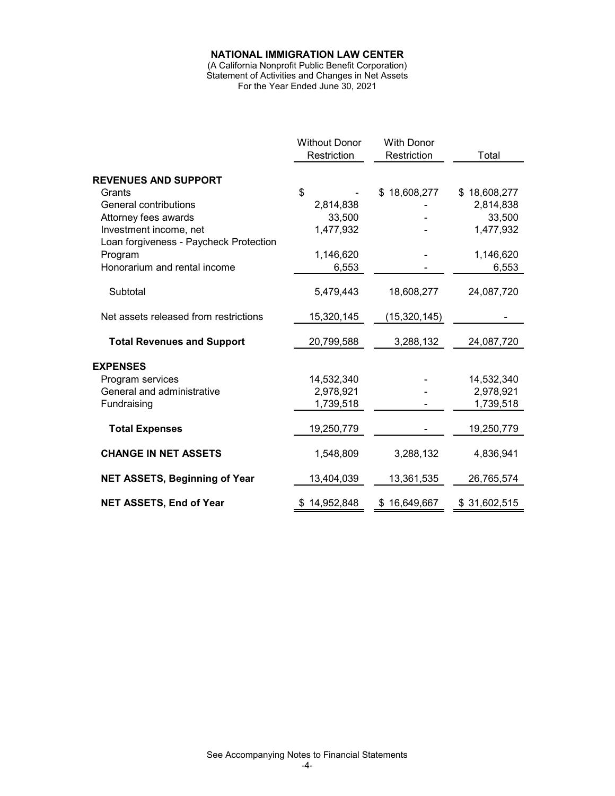(A California Nonprofit Public Benefit Corporation) Statement of Activities and Changes in Net Assets For the Year Ended June 30, 2021

|                                        | <b>Without Donor</b><br>Restriction | <b>With Donor</b><br>Restriction | Total        |
|----------------------------------------|-------------------------------------|----------------------------------|--------------|
| <b>REVENUES AND SUPPORT</b>            |                                     |                                  |              |
| Grants                                 | \$                                  |                                  | \$18,608,277 |
|                                        |                                     | \$18,608,277                     |              |
| General contributions                  | 2,814,838                           |                                  | 2,814,838    |
| Attorney fees awards                   | 33,500                              |                                  | 33,500       |
| Investment income, net                 | 1,477,932                           |                                  | 1,477,932    |
| Loan forgiveness - Paycheck Protection |                                     |                                  |              |
| Program                                | 1,146,620                           |                                  | 1,146,620    |
| Honorarium and rental income           | 6,553                               |                                  | 6,553        |
| Subtotal                               | 5,479,443                           | 18,608,277                       | 24,087,720   |
|                                        |                                     |                                  |              |
| Net assets released from restrictions  | 15,320,145                          | (15,320,145)                     |              |
| <b>Total Revenues and Support</b>      | 20,799,588                          | 3,288,132                        | 24,087,720   |
| <b>EXPENSES</b>                        |                                     |                                  |              |
| Program services                       | 14,532,340                          |                                  | 14,532,340   |
| General and administrative             | 2,978,921                           |                                  | 2,978,921    |
| Fundraising                            | 1,739,518                           |                                  | 1,739,518    |
| <b>Total Expenses</b>                  | 19,250,779                          |                                  | 19,250,779   |
| <b>CHANGE IN NET ASSETS</b>            | 1,548,809                           | 3,288,132                        | 4,836,941    |
| <b>NET ASSETS, Beginning of Year</b>   | 13,404,039                          | 13,361,535                       | 26,765,574   |
| <b>NET ASSETS, End of Year</b>         | \$14,952,848                        | \$16,649,667                     | \$31,602,515 |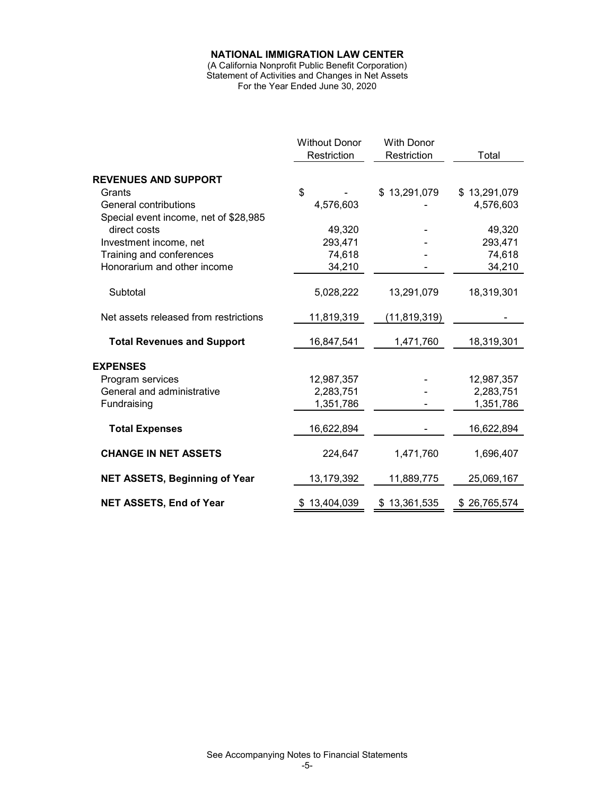(A California Nonprofit Public Benefit Corporation) Statement of Activities and Changes in Net Assets For the Year Ended June 30, 2020

|                                       | <b>Without Donor</b><br>Restriction | <b>With Donor</b><br>Restriction | Total            |
|---------------------------------------|-------------------------------------|----------------------------------|------------------|
|                                       |                                     |                                  |                  |
| <b>REVENUES AND SUPPORT</b>           |                                     |                                  |                  |
| Grants                                | \$                                  | \$13,291,079                     | \$13,291,079     |
| General contributions                 | 4,576,603                           |                                  | 4,576,603        |
| Special event income, net of \$28,985 |                                     |                                  |                  |
| direct costs                          | 49,320                              |                                  | 49,320           |
| Investment income, net                | 293,471                             |                                  | 293,471          |
| Training and conferences              | 74,618                              |                                  | 74,618           |
| Honorarium and other income           | 34,210                              |                                  | 34,210           |
| Subtotal                              | 5,028,222                           | 13,291,079                       | 18,319,301       |
|                                       |                                     |                                  |                  |
| Net assets released from restrictions | 11,819,319                          | (11,819,319)                     |                  |
| <b>Total Revenues and Support</b>     | 16,847,541                          | 1,471,760                        | 18,319,301       |
| <b>EXPENSES</b>                       |                                     |                                  |                  |
| Program services                      | 12,987,357                          |                                  | 12,987,357       |
| General and administrative            | 2,283,751                           |                                  | 2,283,751        |
| Fundraising                           | 1,351,786                           |                                  | 1,351,786        |
| <b>Total Expenses</b>                 | 16,622,894                          |                                  | 16,622,894       |
| <b>CHANGE IN NET ASSETS</b>           | 224,647                             | 1,471,760                        | 1,696,407        |
|                                       |                                     |                                  |                  |
| <b>NET ASSETS, Beginning of Year</b>  | 13,179,392                          | 11,889,775                       | 25,069,167       |
| <b>NET ASSETS, End of Year</b>        | \$13,404,039                        | \$13,361,535                     | 26,765,574<br>S. |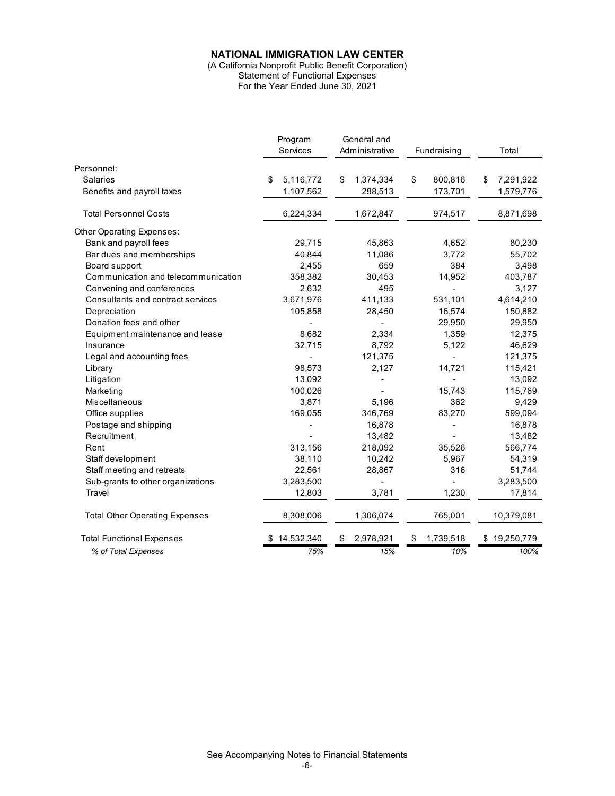(A California Nonprofit Public Benefit Corporation) Statement of Functional Expenses

For the Year Ended June 30, 2021

|                                       | Program<br>Services | General and<br>Administrative | Fundraising     | Total           |  |
|---------------------------------------|---------------------|-------------------------------|-----------------|-----------------|--|
|                                       |                     |                               |                 |                 |  |
| Personnel:                            |                     |                               |                 |                 |  |
| <b>Salaries</b>                       | 5,116,772<br>\$     | \$<br>1,374,334               | \$<br>800,816   | 7,291,922<br>\$ |  |
| Benefits and payroll taxes            | 1,107,562           | 298,513                       | 173,701         | 1,579,776       |  |
| <b>Total Personnel Costs</b>          | 6,224,334           | 1,672,847                     | 974,517         | 8,871,698       |  |
| Other Operating Expenses:             |                     |                               |                 |                 |  |
| Bank and payroll fees                 | 29,715              | 45,863                        | 4,652           | 80,230          |  |
| Bar dues and memberships              | 40,844              | 11,086                        | 3,772           | 55,702          |  |
| Board support                         | 2,455               | 659                           | 384             | 3,498           |  |
| Communication and telecommunication   | 358,382             | 30,453                        | 14,952          | 403,787         |  |
| Convening and conferences             | 2,632               | 495                           |                 | 3,127           |  |
| Consultants and contract services     | 3,671,976           | 411,133                       | 531,101         | 4,614,210       |  |
| Depreciation                          | 105,858             | 28,450                        | 16,574          | 150,882         |  |
| Donation fees and other               |                     |                               | 29,950          | 29,950          |  |
| Equipment maintenance and lease       | 8,682               | 2,334                         | 1,359           | 12,375          |  |
| Insurance                             | 32,715              | 8,792                         | 5,122           | 46,629          |  |
| Legal and accounting fees             |                     | 121,375                       |                 | 121,375         |  |
| Library                               | 98,573              | 2,127                         | 14,721          | 115,421         |  |
| Litigation                            | 13,092              |                               |                 | 13,092          |  |
| Marketing                             | 100,026             |                               | 15,743          | 115,769         |  |
| Miscellaneous                         | 3,871               | 5,196                         | 362             | 9,429           |  |
| Office supplies                       | 169,055             | 346,769                       | 83,270          | 599,094         |  |
| Postage and shipping                  |                     | 16,878                        |                 | 16,878          |  |
| Recruitment                           |                     | 13,482                        |                 | 13,482          |  |
| Rent                                  | 313,156             | 218,092                       | 35,526          | 566,774         |  |
| Staff development                     | 38,110              | 10,242                        | 5,967           | 54,319          |  |
| Staff meeting and retreats            | 22,561              | 28,867                        | 316             | 51,744          |  |
| Sub-grants to other organizations     | 3,283,500           |                               |                 | 3,283,500       |  |
| Travel                                | 12,803              | 3,781                         | 1,230           | 17,814          |  |
| <b>Total Other Operating Expenses</b> | 8,308,006           | 1,306,074                     | 765,001         | 10,379,081      |  |
| <b>Total Functional Expenses</b>      | 14,532,340          | 2,978,921<br>\$               | 1,739,518<br>\$ | \$19,250,779    |  |
| % of Total Expenses                   | 75%                 | 15%                           | 10%             | 100%            |  |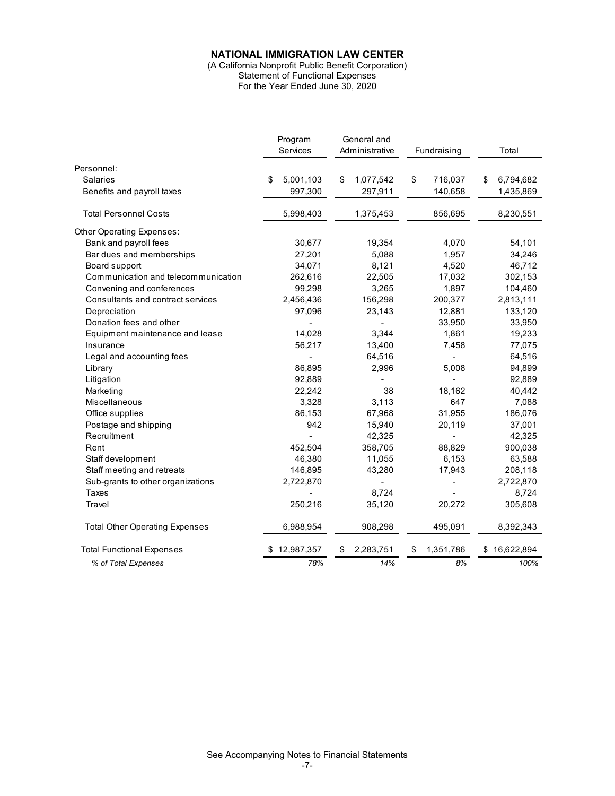(A California Nonprofit Public Benefit Corporation) Statement of Functional Expenses For the Year Ended June 30, 2020

|                                       | Program<br>Services | General and<br>Administrative | Fundraising              | Total            |
|---------------------------------------|---------------------|-------------------------------|--------------------------|------------------|
|                                       |                     |                               |                          |                  |
| Personnel:                            |                     |                               |                          |                  |
| Salaries                              | 5,001,103<br>\$     | 1,077,542<br>\$               | \$<br>716,037            | 6,794,682<br>\$  |
| Benefits and payroll taxes            | 997,300             | 297,911                       | 140,658                  | 1,435,869        |
| <b>Total Personnel Costs</b>          | 5,998,403           | 1,375,453                     | 856,695                  | 8,230,551        |
| Other Operating Expenses:             |                     |                               |                          |                  |
| Bank and payroll fees                 | 30,677              | 19,354                        | 4,070                    | 54,101           |
| Bar dues and memberships              | 27,201              | 5,088                         | 1,957                    | 34,246           |
| Board support                         | 34,071              | 8,121                         | 4,520                    | 46,712           |
| Communication and telecommunication   | 262,616             | 22,505                        | 17,032                   | 302,153          |
| Convening and conferences             | 99,298              | 3,265                         | 1,897                    | 104,460          |
| Consultants and contract services     | 2,456,436           | 156,298                       | 200,377                  | 2,813,111        |
| Depreciation                          | 97,096              | 23,143                        | 12,881                   | 133,120          |
| Donation fees and other               |                     |                               | 33,950                   | 33,950           |
| Equipment maintenance and lease       | 14,028              | 3,344                         | 1,861                    | 19,233           |
| Insurance                             | 56,217              | 13,400                        | 7,458                    | 77,075           |
| Legal and accounting fees             |                     | 64,516                        | $\overline{\phantom{a}}$ | 64,516           |
| Library                               | 86,895              | 2,996                         | 5,008                    | 94,899           |
| Litigation                            | 92,889              |                               | ÷                        | 92,889           |
| Marketing                             | 22,242              | 38                            | 18,162                   | 40,442           |
| <b>Miscellaneous</b>                  | 3,328               | 3,113                         | 647                      | 7,088            |
| Office supplies                       | 86,153              | 67,968                        | 31,955                   | 186,076          |
| Postage and shipping                  | 942                 | 15,940                        | 20,119                   | 37,001           |
| Recruitment                           |                     | 42,325                        |                          | 42,325           |
| Rent                                  | 452,504             | 358,705                       | 88,829                   | 900,038          |
| Staff development                     | 46,380              | 11,055                        | 6,153                    | 63,588           |
| Staff meeting and retreats            | 146,895             | 43,280                        | 17,943                   | 208,118          |
| Sub-grants to other organizations     | 2,722,870           |                               |                          | 2,722,870        |
| <b>Taxes</b>                          |                     | 8,724                         |                          | 8,724            |
| Travel                                | 250,216             | 35,120                        | 20,272                   | 305,608          |
| <b>Total Other Operating Expenses</b> | 6,988,954           | 908,298                       | 495,091                  | 8,392,343        |
| <b>Total Functional Expenses</b>      | 12,987,357          | 2,283,751<br>\$               | 1,351,786<br>S           | 16,622,894<br>\$ |
| % of Total Expenses                   | 78%                 | 14%                           | 8%                       | 100%             |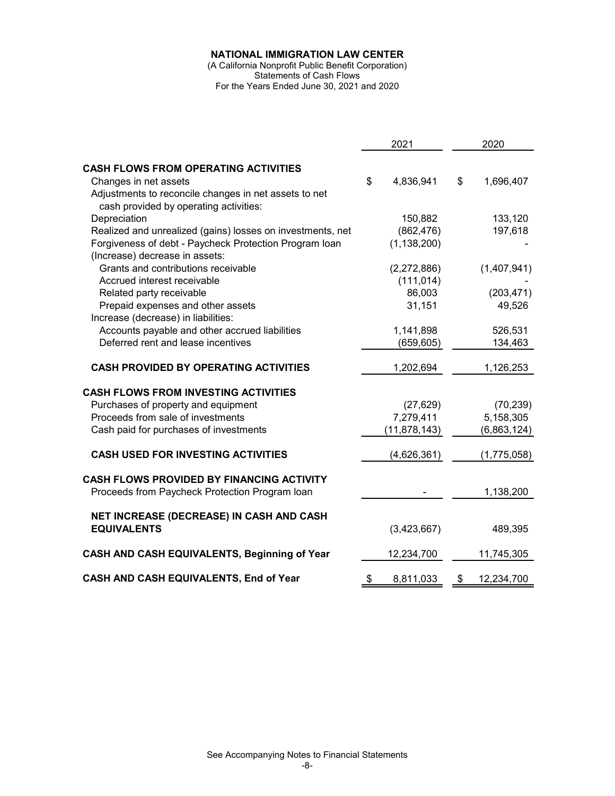(A California Nonprofit Public Benefit Corporation) Statements of Cash Flows For the Years Ended June 30, 2021 and 2020

|                                                            | 2021            | 2020             |
|------------------------------------------------------------|-----------------|------------------|
| <b>CASH FLOWS FROM OPERATING ACTIVITIES</b>                |                 |                  |
| Changes in net assets                                      | \$<br>4,836,941 | \$<br>1,696,407  |
|                                                            |                 |                  |
| Adjustments to reconcile changes in net assets to net      |                 |                  |
| cash provided by operating activities:                     |                 |                  |
| Depreciation                                               | 150,882         | 133,120          |
| Realized and unrealized (gains) losses on investments, net | (862, 476)      | 197,618          |
| Forgiveness of debt - Paycheck Protection Program Ioan     | (1, 138, 200)   |                  |
| (Increase) decrease in assets:                             |                 |                  |
| Grants and contributions receivable                        | (2,272,886)     | (1,407,941)      |
| Accrued interest receivable                                | (111, 014)      |                  |
| Related party receivable                                   | 86,003          | (203, 471)       |
| Prepaid expenses and other assets                          | 31,151          | 49,526           |
| Increase (decrease) in liabilities:                        |                 |                  |
| Accounts payable and other accrued liabilities             | 1,141,898       | 526,531          |
| Deferred rent and lease incentives                         | (659, 605)      | 134,463          |
|                                                            |                 |                  |
| <b>CASH PROVIDED BY OPERATING ACTIVITIES</b>               | 1,202,694       | 1,126,253        |
| <b>CASH FLOWS FROM INVESTING ACTIVITIES</b>                |                 |                  |
| Purchases of property and equipment                        | (27, 629)       | (70, 239)        |
| Proceeds from sale of investments                          | 7,279,411       | 5,158,305        |
| Cash paid for purchases of investments                     | (11, 878, 143)  | (6,863,124)      |
|                                                            |                 |                  |
| <b>CASH USED FOR INVESTING ACTIVITIES</b>                  | (4,626,361)     | (1,775,058)      |
|                                                            |                 |                  |
| CASH FLOWS PROVIDED BY FINANCING ACTIVITY                  |                 |                  |
| Proceeds from Paycheck Protection Program Ioan             |                 | 1,138,200        |
|                                                            |                 |                  |
| NET INCREASE (DECREASE) IN CASH AND CASH                   |                 |                  |
| <b>EQUIVALENTS</b>                                         | (3,423,667)     | 489,395          |
| CASH AND CASH EQUIVALENTS, Beginning of Year               |                 |                  |
|                                                            | 12,234,700      | 11,745,305       |
| CASH AND CASH EQUIVALENTS, End of Year                     | \$<br>8,811,033 | \$<br>12,234,700 |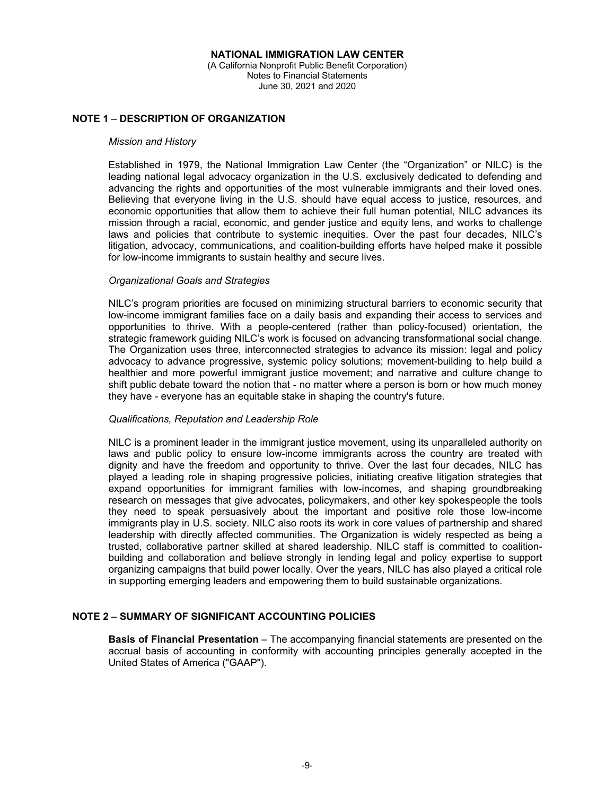# **NOTE 1 DESCRIPTION OF ORGANIZATION**

#### *Mission and History*

Established in 1979, the National Immigration Law Center (the "Organization" or NILC) is the leading national legal advocacy organization in the U.S. exclusively dedicated to defending and advancing the rights and opportunities of the most vulnerable immigrants and their loved ones. Believing that everyone living in the U.S. should have equal access to justice, resources, and economic opportunities that allow them to achieve their full human potential, NILC advances its mission through a racial, economic, and gender justice and equity lens, and works to challenge laws and policies that contribute to systemic inequities. Over the past four decades, NILC's litigation, advocacy, communications, and coalition-building efforts have helped make it possible for low-income immigrants to sustain healthy and secure lives.

#### *Organizational Goals and Strategies*

NILC's program priorities are focused on minimizing structural barriers to economic security that low-income immigrant families face on a daily basis and expanding their access to services and opportunities to thrive. With a people-centered (rather than policy-focused) orientation, the strategic framework guiding NILC's work is focused on advancing transformational social change. The Organization uses three, interconnected strategies to advance its mission: legal and policy advocacy to advance progressive, systemic policy solutions; movement-building to help build a healthier and more powerful immigrant justice movement; and narrative and culture change to shift public debate toward the notion that - no matter where a person is born or how much money they have - everyone has an equitable stake in shaping the country's future.

## *Qualifications, Reputation and Leadership Role*

NILC is a prominent leader in the immigrant justice movement, using its unparalleled authority on laws and public policy to ensure low-income immigrants across the country are treated with dignity and have the freedom and opportunity to thrive. Over the last four decades, NILC has played a leading role in shaping progressive policies, initiating creative litigation strategies that expand opportunities for immigrant families with low-incomes, and shaping groundbreaking research on messages that give advocates, policymakers, and other key spokespeople the tools they need to speak persuasively about the important and positive role those low-income immigrants play in U.S. society. NILC also roots its work in core values of partnership and shared leadership with directly affected communities. The Organization is widely respected as being a trusted, collaborative partner skilled at shared leadership. NILC staff is committed to coalitionbuilding and collaboration and believe strongly in lending legal and policy expertise to support organizing campaigns that build power locally. Over the years, NILC has also played a critical role in supporting emerging leaders and empowering them to build sustainable organizations.

## **NOTE 2 SUMMARY OF SIGNIFICANT ACCOUNTING POLICIES**

**Basis of Financial Presentation** – The accompanying financial statements are presented on the accrual basis of accounting in conformity with accounting principles generally accepted in the United States of America ("GAAP").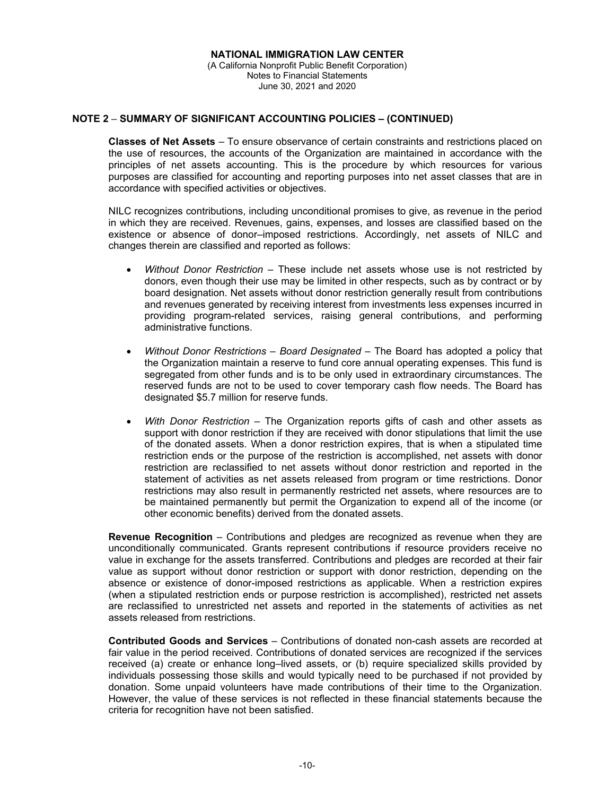## **NOTE 2 SUMMARY OF SIGNIFICANT ACCOUNTING POLICIES – (CONTINUED)**

**Classes of Net Assets** – To ensure observance of certain constraints and restrictions placed on the use of resources, the accounts of the Organization are maintained in accordance with the principles of net assets accounting. This is the procedure by which resources for various purposes are classified for accounting and reporting purposes into net asset classes that are in accordance with specified activities or objectives.

NILC recognizes contributions, including unconditional promises to give, as revenue in the period in which they are received. Revenues, gains, expenses, and losses are classified based on the existence or absence of donor–imposed restrictions. Accordingly, net assets of NILC and changes therein are classified and reported as follows:

- *Without Donor Restriction* These include net assets whose use is not restricted by donors, even though their use may be limited in other respects, such as by contract or by board designation. Net assets without donor restriction generally result from contributions and revenues generated by receiving interest from investments less expenses incurred in providing program-related services, raising general contributions, and performing administrative functions.
- *Without Donor Restrictions Board Designated* The Board has adopted a policy that the Organization maintain a reserve to fund core annual operating expenses. This fund is segregated from other funds and is to be only used in extraordinary circumstances. The reserved funds are not to be used to cover temporary cash flow needs. The Board has designated \$5.7 million for reserve funds.
- *With Donor Restriction* The Organization reports gifts of cash and other assets as support with donor restriction if they are received with donor stipulations that limit the use of the donated assets. When a donor restriction expires, that is when a stipulated time restriction ends or the purpose of the restriction is accomplished, net assets with donor restriction are reclassified to net assets without donor restriction and reported in the statement of activities as net assets released from program or time restrictions. Donor restrictions may also result in permanently restricted net assets, where resources are to be maintained permanently but permit the Organization to expend all of the income (or other economic benefits) derived from the donated assets.

**Revenue Recognition** – Contributions and pledges are recognized as revenue when they are unconditionally communicated. Grants represent contributions if resource providers receive no value in exchange for the assets transferred. Contributions and pledges are recorded at their fair value as support without donor restriction or support with donor restriction, depending on the absence or existence of donor-imposed restrictions as applicable. When a restriction expires (when a stipulated restriction ends or purpose restriction is accomplished), restricted net assets are reclassified to unrestricted net assets and reported in the statements of activities as net assets released from restrictions.

**Contributed Goods and Services** – Contributions of donated non-cash assets are recorded at fair value in the period received. Contributions of donated services are recognized if the services received (a) create or enhance long–lived assets, or (b) require specialized skills provided by individuals possessing those skills and would typically need to be purchased if not provided by donation. Some unpaid volunteers have made contributions of their time to the Organization. However, the value of these services is not reflected in these financial statements because the criteria for recognition have not been satisfied.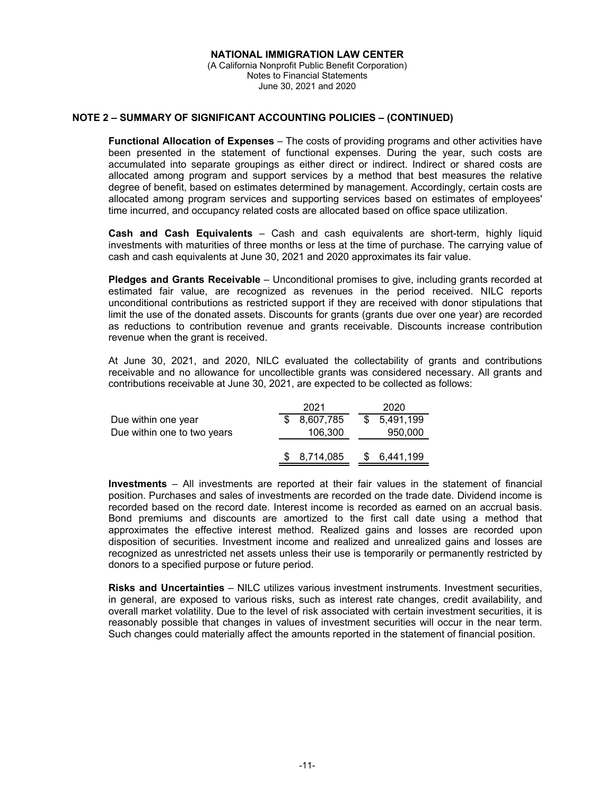## **NOTE 2 – SUMMARY OF SIGNIFICANT ACCOUNTING POLICIES – (CONTINUED)**

**Functional Allocation of Expenses** – The costs of providing programs and other activities have been presented in the statement of functional expenses. During the year, such costs are accumulated into separate groupings as either direct or indirect. Indirect or shared costs are allocated among program and support services by a method that best measures the relative degree of benefit, based on estimates determined by management. Accordingly, certain costs are allocated among program services and supporting services based on estimates of employees' time incurred, and occupancy related costs are allocated based on office space utilization.

**Cash and Cash Equivalents** – Cash and cash equivalents are short-term, highly liquid investments with maturities of three months or less at the time of purchase. The carrying value of cash and cash equivalents at June 30, 2021 and 2020 approximates its fair value.

**Pledges and Grants Receivable** – Unconditional promises to give, including grants recorded at estimated fair value, are recognized as revenues in the period received. NILC reports unconditional contributions as restricted support if they are received with donor stipulations that limit the use of the donated assets. Discounts for grants (grants due over one year) are recorded as reductions to contribution revenue and grants receivable. Discounts increase contribution revenue when the grant is received.

At June 30, 2021, and 2020, NILC evaluated the collectability of grants and contributions receivable and no allowance for uncollectible grants was considered necessary. All grants and contributions receivable at June 30, 2021, are expected to be collected as follows:

|                             | 2021      | 2020        |
|-----------------------------|-----------|-------------|
| Due within one year         | 8,607,785 | \$5,491,199 |
| Due within one to two years | 106,300   | 950,000     |
|                             |           |             |
|                             | 8,714,085 | \$6.441.199 |

**Investments** – All investments are reported at their fair values in the statement of financial position. Purchases and sales of investments are recorded on the trade date. Dividend income is recorded based on the record date. Interest income is recorded as earned on an accrual basis. Bond premiums and discounts are amortized to the first call date using a method that approximates the effective interest method. Realized gains and losses are recorded upon disposition of securities. Investment income and realized and unrealized gains and losses are recognized as unrestricted net assets unless their use is temporarily or permanently restricted by donors to a specified purpose or future period.

**Risks and Uncertainties** – NILC utilizes various investment instruments. Investment securities, in general, are exposed to various risks, such as interest rate changes, credit availability, and overall market volatility. Due to the level of risk associated with certain investment securities, it is reasonably possible that changes in values of investment securities will occur in the near term. Such changes could materially affect the amounts reported in the statement of financial position.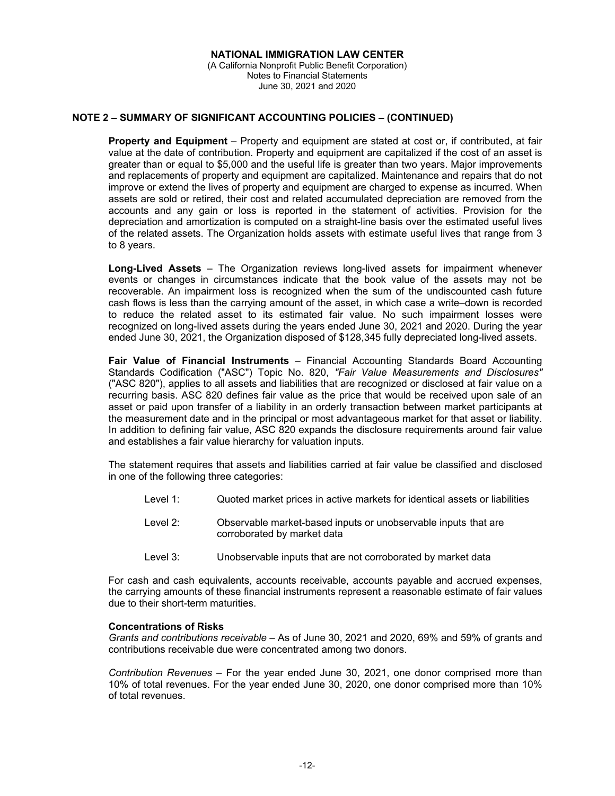## **NOTE 2 – SUMMARY OF SIGNIFICANT ACCOUNTING POLICIES – (CONTINUED)**

**Property and Equipment** – Property and equipment are stated at cost or, if contributed, at fair value at the date of contribution. Property and equipment are capitalized if the cost of an asset is greater than or equal to \$5,000 and the useful life is greater than two years. Major improvements and replacements of property and equipment are capitalized. Maintenance and repairs that do not improve or extend the lives of property and equipment are charged to expense as incurred. When assets are sold or retired, their cost and related accumulated depreciation are removed from the accounts and any gain or loss is reported in the statement of activities. Provision for the depreciation and amortization is computed on a straight-line basis over the estimated useful lives of the related assets. The Organization holds assets with estimate useful lives that range from 3 to 8 years.

**Long-Lived Assets** – The Organization reviews long-lived assets for impairment whenever events or changes in circumstances indicate that the book value of the assets may not be recoverable. An impairment loss is recognized when the sum of the undiscounted cash future cash flows is less than the carrying amount of the asset, in which case a write–down is recorded to reduce the related asset to its estimated fair value. No such impairment losses were recognized on long-lived assets during the years ended June 30, 2021 and 2020. During the year ended June 30, 2021, the Organization disposed of \$128,345 fully depreciated long-lived assets.

**Fair Value of Financial Instruments** – Financial Accounting Standards Board Accounting Standards Codification ("ASC") Topic No. 820, *"Fair Value Measurements and Disclosures"* ("ASC 820"), applies to all assets and liabilities that are recognized or disclosed at fair value on a recurring basis. ASC 820 defines fair value as the price that would be received upon sale of an asset or paid upon transfer of a liability in an orderly transaction between market participants at the measurement date and in the principal or most advantageous market for that asset or liability. In addition to defining fair value, ASC 820 expands the disclosure requirements around fair value and establishes a fair value hierarchy for valuation inputs.

The statement requires that assets and liabilities carried at fair value be classified and disclosed in one of the following three categories:

- Level 1: Quoted market prices in active markets for identical assets or liabilities
- Level 2: Observable market-based inputs or unobservable inputs that are corroborated by market data
- Level 3: Unobservable inputs that are not corroborated by market data

For cash and cash equivalents, accounts receivable, accounts payable and accrued expenses, the carrying amounts of these financial instruments represent a reasonable estimate of fair values due to their short-term maturities.

#### **Concentrations of Risks**

*Grants and contributions receivable* – As of June 30, 2021 and 2020, 69% and 59% of grants and contributions receivable due were concentrated among two donors.

*Contribution Revenues* – For the year ended June 30, 2021, one donor comprised more than 10% of total revenues. For the year ended June 30, 2020, one donor comprised more than 10% of total revenues.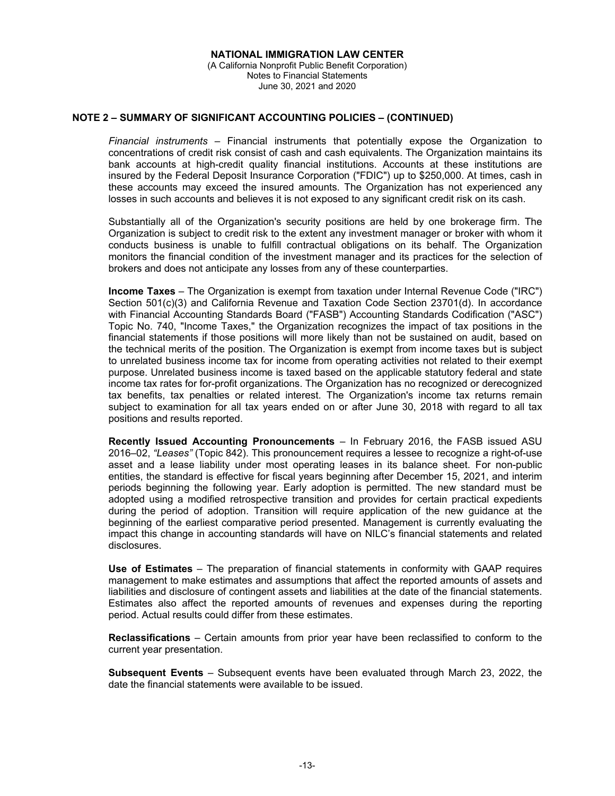## **NOTE 2 – SUMMARY OF SIGNIFICANT ACCOUNTING POLICIES – (CONTINUED)**

*Financial instruments* – Financial instruments that potentially expose the Organization to concentrations of credit risk consist of cash and cash equivalents. The Organization maintains its bank accounts at high-credit quality financial institutions. Accounts at these institutions are insured by the Federal Deposit Insurance Corporation ("FDIC") up to \$250,000. At times, cash in these accounts may exceed the insured amounts. The Organization has not experienced any losses in such accounts and believes it is not exposed to any significant credit risk on its cash.

Substantially all of the Organization's security positions are held by one brokerage firm. The Organization is subject to credit risk to the extent any investment manager or broker with whom it conducts business is unable to fulfill contractual obligations on its behalf. The Organization monitors the financial condition of the investment manager and its practices for the selection of brokers and does not anticipate any losses from any of these counterparties.

**Income Taxes** – The Organization is exempt from taxation under Internal Revenue Code ("IRC") Section 501(c)(3) and California Revenue and Taxation Code Section 23701(d). In accordance with Financial Accounting Standards Board ("FASB") Accounting Standards Codification ("ASC") Topic No. 740, "Income Taxes," the Organization recognizes the impact of tax positions in the financial statements if those positions will more likely than not be sustained on audit, based on the technical merits of the position. The Organization is exempt from income taxes but is subject to unrelated business income tax for income from operating activities not related to their exempt purpose. Unrelated business income is taxed based on the applicable statutory federal and state income tax rates for for-profit organizations. The Organization has no recognized or derecognized tax benefits, tax penalties or related interest. The Organization's income tax returns remain subject to examination for all tax years ended on or after June 30, 2018 with regard to all tax positions and results reported.

**Recently Issued Accounting Pronouncements** – In February 2016, the FASB issued ASU 2016–02, *"Leases"* (Topic 842). This pronouncement requires a lessee to recognize a right-of-use asset and a lease liability under most operating leases in its balance sheet. For non-public entities, the standard is effective for fiscal years beginning after December 15, 2021, and interim periods beginning the following year. Early adoption is permitted. The new standard must be adopted using a modified retrospective transition and provides for certain practical expedients during the period of adoption. Transition will require application of the new guidance at the beginning of the earliest comparative period presented. Management is currently evaluating the impact this change in accounting standards will have on NILC's financial statements and related disclosures.

**Use of Estimates** – The preparation of financial statements in conformity with GAAP requires management to make estimates and assumptions that affect the reported amounts of assets and liabilities and disclosure of contingent assets and liabilities at the date of the financial statements. Estimates also affect the reported amounts of revenues and expenses during the reporting period. Actual results could differ from these estimates.

**Reclassifications** – Certain amounts from prior year have been reclassified to conform to the current year presentation.

**Subsequent Events** – Subsequent events have been evaluated through March 23, 2022, the date the financial statements were available to be issued.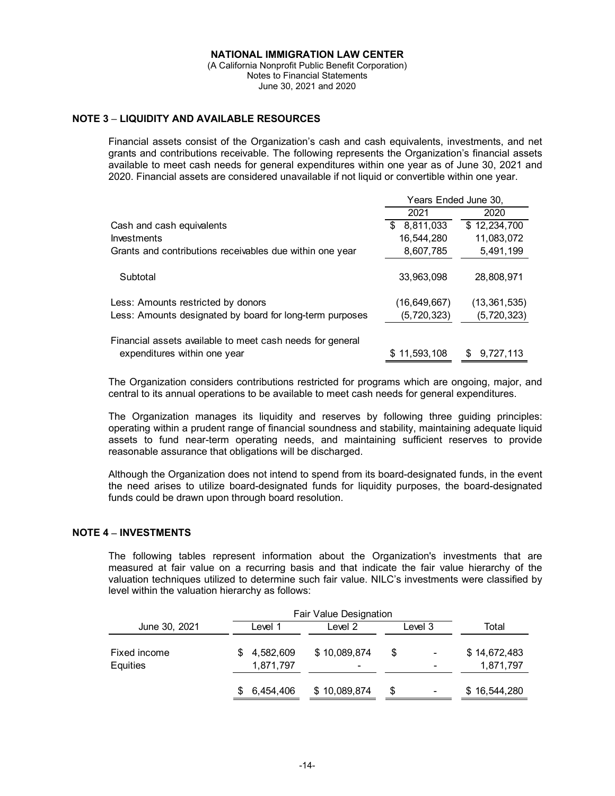(A California Nonprofit Public Benefit Corporation) Notes to Financial Statements June 30, 2021 and 2020

## **NOTE 3 LIQUIDITY AND AVAILABLE RESOURCES**

Financial assets consist of the Organization's cash and cash equivalents, investments, and net grants and contributions receivable. The following represents the Organization's financial assets available to meet cash needs for general expenditures within one year as of June 30, 2021 and 2020. Financial assets are considered unavailable if not liquid or convertible within one year.

|                                                           | Years Ended June 30, |                  |
|-----------------------------------------------------------|----------------------|------------------|
|                                                           | 2021                 | 2020             |
| Cash and cash equivalents                                 | 8,811,033<br>\$      | \$12,234,700     |
| <b>Investments</b>                                        | 16,544,280           | 11,083,072       |
| Grants and contributions receivables due within one year  | 8,607,785            | 5,491,199        |
| Subtotal                                                  | 33.963.098           | 28,808,971       |
| Less: Amounts restricted by donors                        | (16, 649, 667)       | (13, 361, 535)   |
| Less: Amounts designated by board for long-term purposes  | (5,720,323)          | (5,720,323)      |
| Financial assets available to meet cash needs for general |                      |                  |
| expenditures within one year                              | \$11.593.108         | 9.727.113<br>\$. |

The Organization considers contributions restricted for programs which are ongoing, major, and central to its annual operations to be available to meet cash needs for general expenditures.

The Organization manages its liquidity and reserves by following three guiding principles: operating within a prudent range of financial soundness and stability, maintaining adequate liquid assets to fund near-term operating needs, and maintaining sufficient reserves to provide reasonable assurance that obligations will be discharged.

Although the Organization does not intend to spend from its board-designated funds, in the event the need arises to utilize board-designated funds for liquidity purposes, the board-designated funds could be drawn upon through board resolution.

## **NOTE 4 INVESTMENTS**

The following tables represent information about the Organization's investments that are measured at fair value on a recurring basis and that indicate the fair value hierarchy of the valuation techniques utilized to determine such fair value. NILC's investments were classified by level within the valuation hierarchy as follows:

|                                 | Fair Value Designation |              |   |         |   |                           |
|---------------------------------|------------------------|--------------|---|---------|---|---------------------------|
| June 30, 2021                   | Level 1                | Level 2      |   | Level 3 |   | Total                     |
| Fixed income<br><b>Equities</b> | 4,582,609<br>1,871,797 | \$10,089,874 | ۰ | \$.     | ۰ | \$14,672,483<br>1,871,797 |
|                                 | 6,454,406              | \$10,089,874 |   | \$      | ۰ | \$16,544,280              |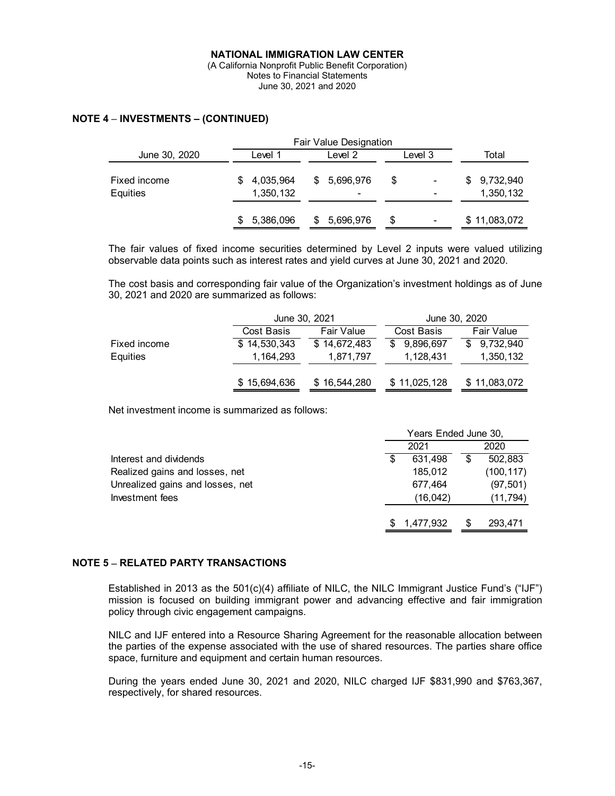# **NOTE 4 INVESTMENTS – (CONTINUED)**

|                          | Fair Value Designation |                        |    |                                       |    |         |                        |
|--------------------------|------------------------|------------------------|----|---------------------------------------|----|---------|------------------------|
| June 30, 2020            |                        | Level 1                |    | Level 2                               |    | Level 3 | Total                  |
| Fixed income<br>Equities |                        | 4,035,964<br>1,350,132 | \$ | 5,696,976<br>$\overline{\phantom{0}}$ | \$ |         | 9,732,940<br>1,350,132 |
|                          |                        | 5,386,096              |    | 5,696,976                             | \$ | ۰       | \$11,083,072           |

The fair values of fixed income securities determined by Level 2 inputs were valued utilizing observable data points such as interest rates and yield curves at June 30, 2021 and 2020.

The cost basis and corresponding fair value of the Organization's investment holdings as of June 30, 2021 and 2020 are summarized as follows:

|              | June 30, 2021 |              | June 30, 2020   |              |  |  |
|--------------|---------------|--------------|-----------------|--------------|--|--|
|              | Cost Basis    | Fair Value   |                 | Fair Value   |  |  |
| Fixed income | \$14,530,343  | \$14,672,483 | \$<br>9,896,697 | \$9,732,940  |  |  |
| Equities     | 1,164,293     | 1,871,797    | 1,128,431       | 1,350,132    |  |  |
|              |               |              |                 |              |  |  |
|              | \$15,694,636  | \$16,544,280 | \$11,025,128    | \$11,083,072 |  |  |

Net investment income is summarized as follows:

|                                  | Years Ended June 30, |           |   |            |
|----------------------------------|----------------------|-----------|---|------------|
|                                  |                      | 2021      |   | 2020       |
| Interest and dividends           | \$                   | 631.498   | S | 502.883    |
| Realized gains and losses, net   |                      | 185.012   |   | (100, 117) |
| Unrealized gains and losses, net |                      | 677.464   |   | (97, 501)  |
| Investment fees                  |                      | (16, 042) |   | (11, 794)  |
|                                  | SS.                  | 1,477,932 | S | 293,471    |

## **NOTE 5 RELATED PARTY TRANSACTIONS**

Established in 2013 as the 501(c)(4) affiliate of NILC, the NILC Immigrant Justice Fund's ("IJF") mission is focused on building immigrant power and advancing effective and fair immigration policy through civic engagement campaigns.

NILC and IJF entered into a Resource Sharing Agreement for the reasonable allocation between the parties of the expense associated with the use of shared resources. The parties share office space, furniture and equipment and certain human resources.

During the years ended June 30, 2021 and 2020, NILC charged IJF \$831,990 and \$763,367, respectively, for shared resources.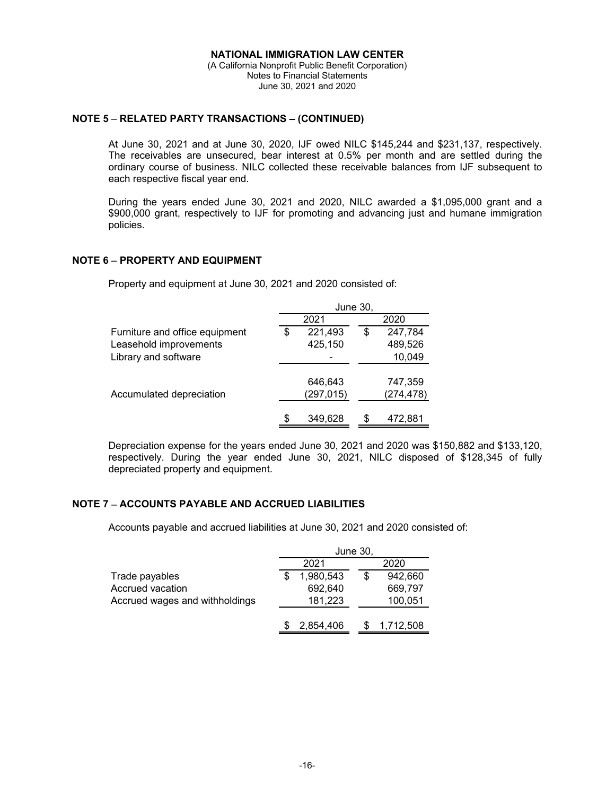## **NOTE 5 RELATED PARTY TRANSACTIONS – (CONTINUED)**

At June 30, 2021 and at June 30, 2020, IJF owed NILC \$145,244 and \$231,137, respectively. The receivables are unsecured, bear interest at 0.5% per month and are settled during the ordinary course of business. NILC collected these receivable balances from IJF subsequent to each respective fiscal year end.

During the years ended June 30, 2021 and 2020, NILC awarded a \$1,095,000 grant and a \$900,000 grant, respectively to IJF for promoting and advancing just and humane immigration policies.

## **NOTE 6 PROPERTY AND EQUIPMENT**

Property and equipment at June 30, 2021 and 2020 consisted of:

|                                | June 30, |            |    |            |
|--------------------------------|----------|------------|----|------------|
|                                |          | 2021       |    | 2020       |
| Furniture and office equipment | S        | 221,493    | \$ | 247,784    |
| Leasehold improvements         |          | 425,150    |    | 489,526    |
| Library and software           |          |            |    | 10,049     |
|                                |          |            |    |            |
|                                |          | 646,643    |    | 747,359    |
| Accumulated depreciation       |          | (297, 015) |    | (274, 478) |
|                                | \$       | 349,628    |    | 472,881    |

Depreciation expense for the years ended June 30, 2021 and 2020 was \$150,882 and \$133,120, respectively. During the year ended June 30, 2021, NILC disposed of \$128,345 of fully depreciated property and equipment.

## **NOTE 7 ACCOUNTS PAYABLE AND ACCRUED LIABILITIES**

Accounts payable and accrued liabilities at June 30, 2021 and 2020 consisted of:

|                                | June 30,  |              |  |  |
|--------------------------------|-----------|--------------|--|--|
|                                | 2021      | 2020         |  |  |
| Trade payables                 | 1,980,543 | 942,660<br>S |  |  |
| Accrued vacation               | 692,640   | 669,797      |  |  |
| Accrued wages and withholdings | 181,223   | 100,051      |  |  |
|                                |           |              |  |  |
|                                | 2,854,406 | 1,712,508    |  |  |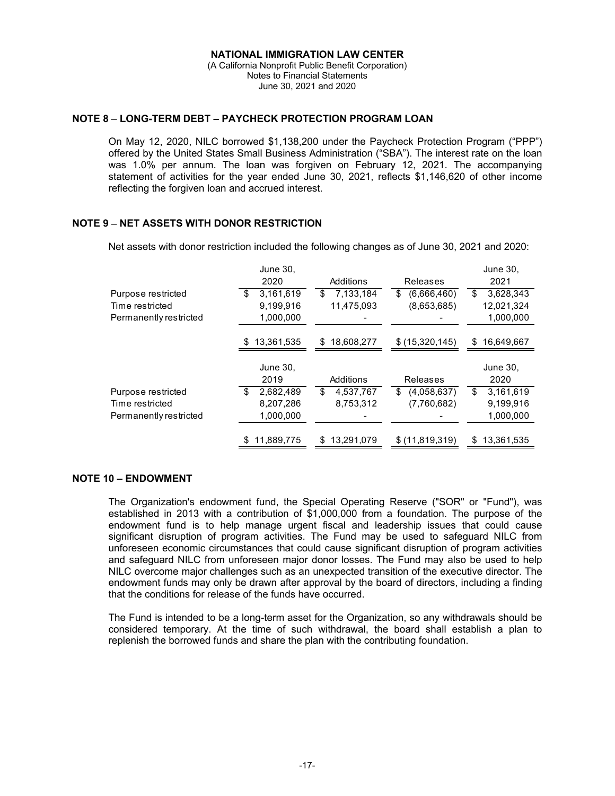(A California Nonprofit Public Benefit Corporation) Notes to Financial Statements June 30, 2021 and 2020

## **NOTE 8 LONG-TERM DEBT – PAYCHECK PROTECTION PROGRAM LOAN**

On May 12, 2020, NILC borrowed \$1,138,200 under the Paycheck Protection Program ("PPP") offered by the United States Small Business Administration ("SBA"). The interest rate on the loan was 1.0% per annum. The loan was forgiven on February 12, 2021. The accompanying statement of activities for the year ended June 30, 2021, reflects \$1,146,620 of other income reflecting the forgiven loan and accrued interest.

## **NOTE 9 NET ASSETS WITH DONOR RESTRICTION**

Net assets with donor restriction included the following changes as of June 30, 2021 and 2020:

|                        | June 30,          |                  |                   | June 30,         |
|------------------------|-------------------|------------------|-------------------|------------------|
|                        | 2020              | Additions        | Releases          | 2021             |
| Purpose restricted     | 3,161,619<br>\$   | 7,133,184<br>\$  | (6,666,460)<br>\$ | \$<br>3,628,343  |
| Time restricted        | 9.199.916         | 11,475,093       | (8,653,685)       | 12,021,324       |
| Permanently restricted | 1,000,000         |                  |                   | 1,000,000        |
|                        | 13,361,535<br>S.  | 18,608,277<br>\$ | \$(15,320,145)    | 16,649,667<br>S  |
|                        |                   |                  |                   |                  |
|                        | June 30,          |                  |                   | June 30,         |
|                        | 2019              | Additions        | <b>Releases</b>   | 2020             |
| Purpose restricted     | 2,682,489<br>S    | 4,537,767<br>S   | (4,058,637)<br>S  | 3,161,619<br>\$  |
| Time restricted        | 8,207,286         | 8,753,312        | (7,760,682)       | 9,199,916        |
| Permanently restricted | 1,000,000         |                  |                   | 1,000,000        |
|                        | 11,889,775<br>\$. | 13,291,079<br>\$ | \$ (11,819,319)   | 13,361,535<br>\$ |

# **NOTE 10 – ENDOWMENT**

The Organization's endowment fund, the Special Operating Reserve ("SOR" or "Fund"), was established in 2013 with a contribution of \$1,000,000 from a foundation. The purpose of the endowment fund is to help manage urgent fiscal and leadership issues that could cause significant disruption of program activities. The Fund may be used to safeguard NILC from unforeseen economic circumstances that could cause significant disruption of program activities and safeguard NILC from unforeseen major donor losses. The Fund may also be used to help NILC overcome major challenges such as an unexpected transition of the executive director. The endowment funds may only be drawn after approval by the board of directors, including a finding that the conditions for release of the funds have occurred.

The Fund is intended to be a long-term asset for the Organization, so any withdrawals should be considered temporary. At the time of such withdrawal, the board shall establish a plan to replenish the borrowed funds and share the plan with the contributing foundation.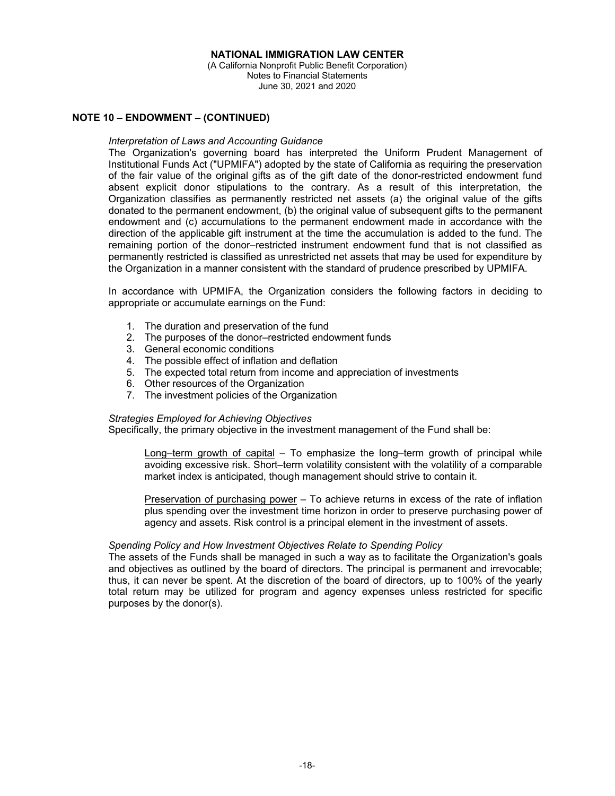(A California Nonprofit Public Benefit Corporation) Notes to Financial Statements June 30, 2021 and 2020

#### **NOTE 10 – ENDOWMENT – (CONTINUED)**

#### *Interpretation of Laws and Accounting Guidance*

The Organization's governing board has interpreted the Uniform Prudent Management of Institutional Funds Act ("UPMIFA") adopted by the state of California as requiring the preservation of the fair value of the original gifts as of the gift date of the donor-restricted endowment fund absent explicit donor stipulations to the contrary. As a result of this interpretation, the Organization classifies as permanently restricted net assets (a) the original value of the gifts donated to the permanent endowment, (b) the original value of subsequent gifts to the permanent endowment and (c) accumulations to the permanent endowment made in accordance with the direction of the applicable gift instrument at the time the accumulation is added to the fund. The remaining portion of the donor–restricted instrument endowment fund that is not classified as permanently restricted is classified as unrestricted net assets that may be used for expenditure by the Organization in a manner consistent with the standard of prudence prescribed by UPMIFA.

In accordance with UPMIFA, the Organization considers the following factors in deciding to appropriate or accumulate earnings on the Fund:

- 1. The duration and preservation of the fund
- 2. The purposes of the donor–restricted endowment funds
- 3. General economic conditions
- 4. The possible effect of inflation and deflation
- 5. The expected total return from income and appreciation of investments
- 6. Other resources of the Organization
- 7. The investment policies of the Organization

#### *Strategies Employed for Achieving Objectives*

Specifically, the primary objective in the investment management of the Fund shall be:

Long–term growth of capital – To emphasize the long–term growth of principal while avoiding excessive risk. Short–term volatility consistent with the volatility of a comparable market index is anticipated, though management should strive to contain it.

Preservation of purchasing power – To achieve returns in excess of the rate of inflation plus spending over the investment time horizon in order to preserve purchasing power of agency and assets. Risk control is a principal element in the investment of assets.

#### *Spending Policy and How Investment Objectives Relate to Spending Policy*

The assets of the Funds shall be managed in such a way as to facilitate the Organization's goals and objectives as outlined by the board of directors. The principal is permanent and irrevocable; thus, it can never be spent. At the discretion of the board of directors, up to 100% of the yearly total return may be utilized for program and agency expenses unless restricted for specific purposes by the donor(s).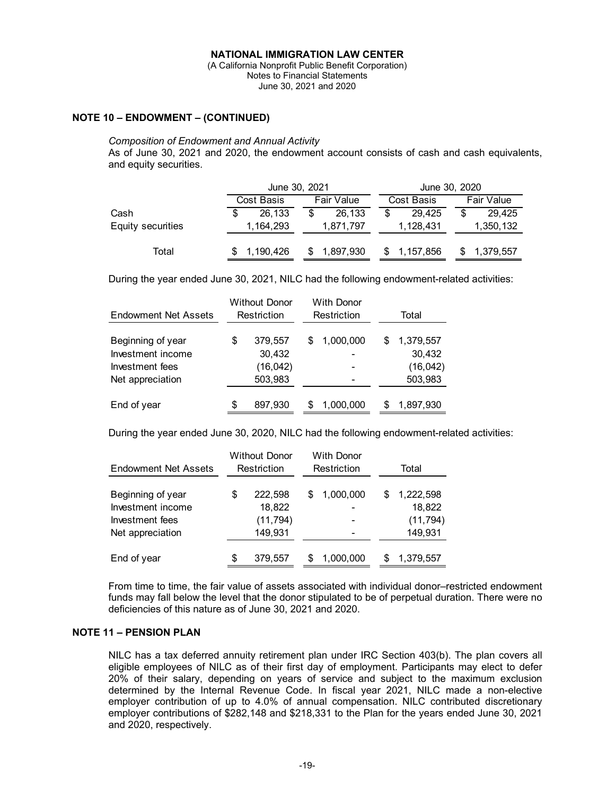(A California Nonprofit Public Benefit Corporation) Notes to Financial Statements June 30, 2021 and 2020

#### **NOTE 10 – ENDOWMENT – (CONTINUED)**

#### *Composition of Endowment and Annual Activity*

As of June 30, 2021 and 2020, the endowment account consists of cash and cash equivalents, and equity securities.

|                   | June 30, 2021 |            |    | June 30, 2020 |   |            |    |            |
|-------------------|---------------|------------|----|---------------|---|------------|----|------------|
|                   |               | Cost Basis |    | Fair Value    |   | Cost Basis |    | Fair Value |
| Cash              | S             | 26.133     | \$ | 26.133        | S | 29.425     | \$ | 29.425     |
| Equity securities |               | 1,164,293  |    | 1,871,797     |   | 1,128,431  |    | 1,350,132  |
| Total             |               | 1,190,426  |    | 1,897,930     |   | 1,157,856  |    | 1,379,557  |

During the year ended June 30, 2021, NILC had the following endowment-related activities:

| <b>Endowment Net Assets</b>                                                   | <b>Without Donor</b><br>Restriction |                                           | <b>With Donor</b><br>Restriction |                                            |   | Total                                       |  |  |
|-------------------------------------------------------------------------------|-------------------------------------|-------------------------------------------|----------------------------------|--------------------------------------------|---|---------------------------------------------|--|--|
| Beginning of year<br>Investment income<br>Investment fees<br>Net appreciation | \$                                  | 379,557<br>30,432<br>(16, 042)<br>503,983 | S                                | 1,000,000<br>۰<br>$\overline{\phantom{0}}$ | S | 1,379,557<br>30,432<br>(16, 042)<br>503,983 |  |  |
| End of year                                                                   | \$                                  | 897,930                                   |                                  | 1,000,000                                  | S | 1,897,930                                   |  |  |

During the year ended June 30, 2020, NILC had the following endowment-related activities:

| <b>Endowment Net Assets</b> | <b>Without Donor</b><br>Restriction |           | With Donor<br>Restriction |           | Total |           |  |
|-----------------------------|-------------------------------------|-----------|---------------------------|-----------|-------|-----------|--|
| Beginning of year           | \$                                  | 222,598   |                           | 1,000,000 | S     | 1,222,598 |  |
| Investment income           |                                     | 18,822    |                           |           |       | 18,822    |  |
| Investment fees             |                                     | (11, 794) |                           |           |       | (11, 794) |  |
| Net appreciation            |                                     | 149,931   |                           |           |       | 149,931   |  |
| End of year                 | \$                                  | 379,557   | S                         | 1,000,000 | S.    | 1,379,557 |  |

From time to time, the fair value of assets associated with individual donor–restricted endowment funds may fall below the level that the donor stipulated to be of perpetual duration. There were no deficiencies of this nature as of June 30, 2021 and 2020.

## **NOTE 11 – PENSION PLAN**

NILC has a tax deferred annuity retirement plan under IRC Section 403(b). The plan covers all eligible employees of NILC as of their first day of employment. Participants may elect to defer 20% of their salary, depending on years of service and subject to the maximum exclusion determined by the Internal Revenue Code. In fiscal year 2021, NILC made a non-elective employer contribution of up to 4.0% of annual compensation. NILC contributed discretionary employer contributions of \$282,148 and \$218,331 to the Plan for the years ended June 30, 2021 and 2020, respectively.